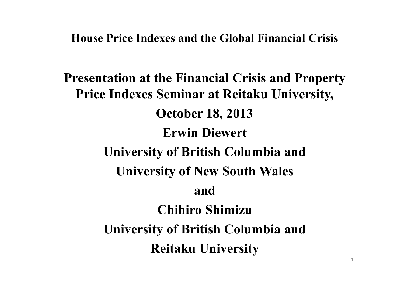#### **House Price Indexes and the Global Financial Crisis**

**Presentation at the Financial Crisis and Property Price Indexes Seminar at Reitaku University, October 18, 2013 Erwin Diewert University of British Columbia and University of New South Wales and Chihiro Shimizu University of British Columbia and Reitaku University**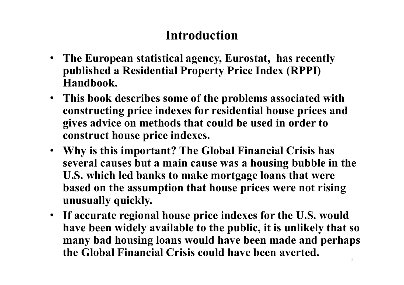# **Introduction**

- **The European statistical agency, Eurostat, has recently published a Residential Property Price Index (RPPI) Handbook.**
- **This book describes some of the problems associated with constructing price indexes for residential house prices and gives advice on methods that could be used in order to construct house price indexes.**
- **Why is this important? The Global Financial Crisis has several causes but a main cause was a housing bubble in the U.S. which led banks to make mortgage loans that were based on the assumption that house prices were not rising unusually quickly.**
- **If accurate regional house price indexes for the U.S. would have been widely available to the public, it is unlikely that so many bad housing loans would have been made and perhaps the Global Financial Crisis could have been averted.**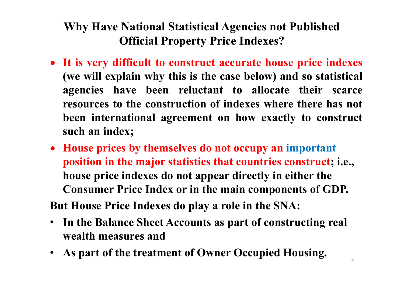### **Why Have National Statistical Agencies not Published Official Property Price Indexes?**

- **It is very difficult to construct accurate house price indexes (we will explain why this is the case below) and so statistical agencies have been reluctant to allocate their scarce resources to the construction of indexes where there has not been international agreement on how exactly to construct such an index;**
- **House prices by themselves do not occupy an important position in the major statistics that countries construct; i.e., house price indexes do not appear directly in either the Consumer Price Index or in the main components of GDP.**

**But House Price Indexes do play a role in the SNA:**

- **In the Balance Sheet Accounts as part of constructing real wealth measures and**
- **As part of the treatment of Owner Occupied Housing.**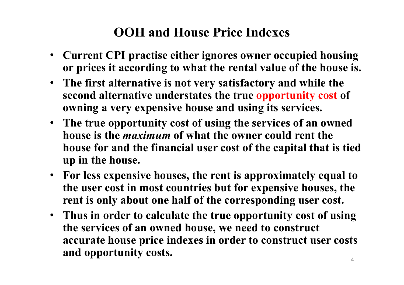# **OOH and House Price Indexes**

- **Current CPI practise either ignores owner occupied housing or prices it according to what the rental value of the house is.**
- **The first alternative is not very satisfactory and while the second alternative understates the true opportunity cost of owning a very expensive house and using its services.**
- **The true opportunity cost of using the services of an owned house is the** *maximum* **of what the owner could rent the house for and the financial user cost of the capital that is tied up in the house.**
- **For less expensive houses, the rent is approximately equal to the user cost in most countries but for expensive houses, the rent is only about one half of the corresponding user cost.**
- **Thus in order to calculate the true opportunity cost of using the services of an owned house, we need to construct accurate house price indexes in order to construct user costs and opportunity costs.**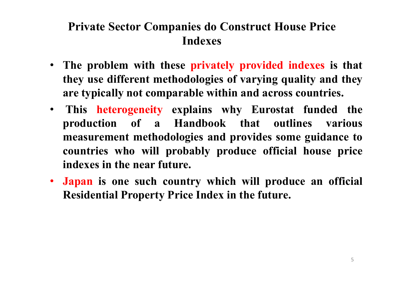### **Private Sector Companies do Construct House Price Indexes**

- **The problem with these privately provided indexes is that they use different methodologies of varying quality and they are typically not comparable within and across countries.**
- **This heterogeneity explains why Eurostat funded the production of a Handbook that outlines various measurement methodologies and provides some guidance to countries who will probably produce official house price indexes in the near future.**
- **Japan is one such country which will produce an official Residential Property Price Index in the future.**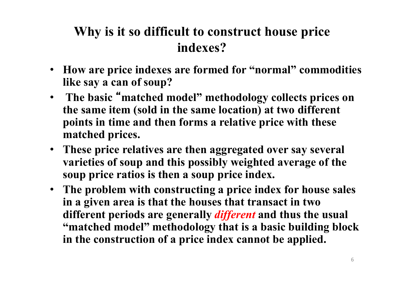# **Why is it so difficult to construct house price indexes?**

- **How are price indexes are formed for "normal" commodities like say a can of soup?**
- **The basic** " **matched model" methodology collects prices on the same item (sold in the same location) at two different points in time and then forms a relative price with these matched prices.**
- **These price relatives are then aggregated over say several varieties of soup and this possibly weighted average of the soup price ratios is then a soup price index.**
- **The problem with constructing a price index for house sales in a given area is that the houses that transact in two different periods are generally** *different* **and thus the usual "matched model" methodology that is a basic building block in the construction of a price index cannot be applied.**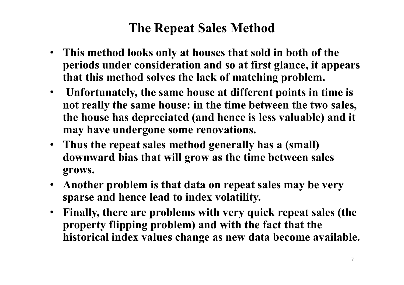## **The Repeat Sales Method**

- **This method looks only at houses that sold in both of the periods under consideration and so at first glance, it appears that this method solves the lack of matching problem.**
- **Unfortunately, the same house at different points in time is not really the same house: in the time between the two sales, the house has depreciated (and hence is less valuable) and it may have undergone some renovations.**
- **Thus the repeat sales method generally has a (small) downward bias that will grow as the time between sales grows.**
- **Another problem is that data on repeat sales may be very sparse and hence lead to index volatility.**
- **Finally, there are problems with very quick repeat sales (the property flipping problem) and with the fact that the historical index values change as new data become available.**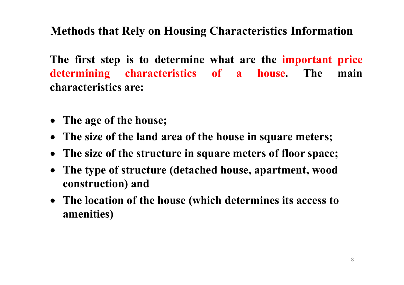### **Methods that Rely on Housing Characteristics Information**

**The first step is to determine what are the important price determining characteristics of a house. The main characteristics are:**

- **The age of the house;**
- **The size of the land area of the house in square meters;**
- **The size of the structure in square meters of floor space;**
- **The type of structure (detached house, apartment, wood**  $\bullet$ **construction) and**
- **The location of the house (which determines its access to amenities)**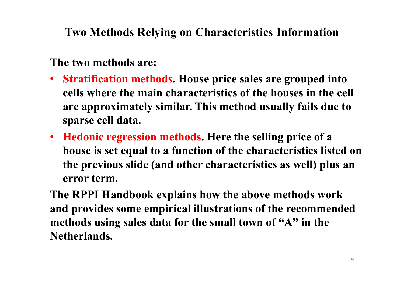**Two Methods Relying on Characteristics Information**

#### **The two methods are:**

- **Stratification methods. House price sales are grouped into cells where the main characteristics of the houses in the cell are approximately similar. This method usually fails due to sparse cell data.**
- **Hedonic regression methods. Here the selling price of a house is set equal to a function of the characteristics listed on the previous slide (and other characteristics as well) plus an error term.**
- **The RPPI Handbook explains how the above methods work and provides some empirical illustrations of the recommended methods using sales data for the small town of "A" in the Netherlands.**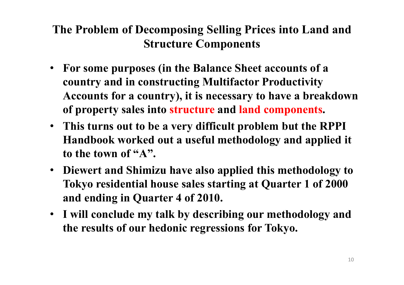### **The Problem of Decomposing Selling Prices into Land and Structure Components**

- **For some purposes (in the Balance Sheet accounts of a country and in constructing Multifactor Productivity Accounts for a country), it is necessary to have a breakdown of property sales into structure and land components.**
- **This turns out to be a very difficult problem but the RPPI Handbook worked out a useful methodology and applied it to the town of "A".**
- **Diewert and Shimizu have also applied this methodology to Tokyo residential house sales starting at Quarter 1 of 2000 and ending in Quarter 4 of 2010.**
- **I will conclude my talk by describing our methodology and the results of our hedonic regressions for Tokyo.**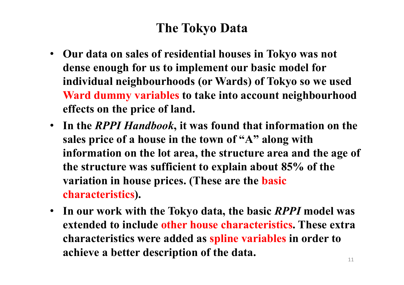# **The Tokyo Data**

- **Our data on sales of residential houses in Tokyo was not dense enough for us to implement our basic model for individual neighbourhoods (or Wards) of Tokyo so we used Ward dummy variables to take into account neighbourhood effects on the price of land.**
- **In the** *RPPI Handbook***, it was found that information on the sales price of a house in the town of "A" along with information on the lot area, the structure area and the age of the structure was sufficient to explain about 85% of the variation in house prices. (These are the basic characteristics).**
- **In our work with the Tokyo data, the basic** *RPPI* **model was extended to include other house characteristics. These extra characteristics were added as spline variables in order to achieve a better description of the data.**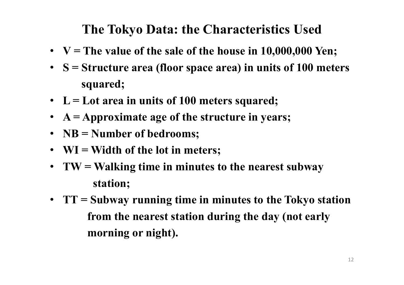# **The Tokyo Data: the Characteristics Used**

- **V = The value of the sale of the house in 10,000,000 Yen;**
- **S = Structure area (floor space area) in units of 100 meters squared;**
- **L = Lot area in units of 100 meters squared;**
- **A = Approximate age of the structure in years;**
- **NB = Number of bedrooms;**
- **WI = Width of the lot in meters;**
- **TW = Walking time in minutes to the nearest subway station;**
- **TT = Subway running time in minutes to the Tokyo station from the nearest station during the day (not early morning or night).**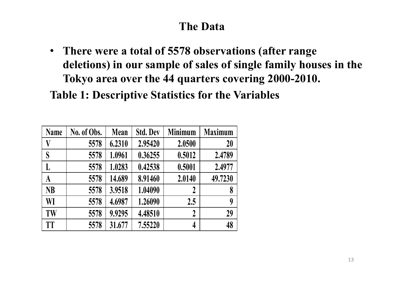### **The Data**

• **There were a total of 5578 observations (after range deletions) in our sample of sales of single family houses in the Tokyo area over the 44 quarters covering 2000-2010.**

**Table 1: Descriptive Statistics for the Variables**

| <b>Name</b> | No. of Obs. | <b>Mean</b> | <b>Std. Dev</b> | <b>Minimum</b>   | <b>Maximum</b> |
|-------------|-------------|-------------|-----------------|------------------|----------------|
| V           | 5578        | 6.2310      | 2.95420         | 2.0500           | 20             |
| S           | 5578        | 1.0961      | 0.36255         | 0.5012           | 2.4789         |
| L           | 5578        | 1.0283      | 0.42538         | 0.5001           | 2.4977         |
| A           | 5578        | 14.689      | 8.91460         | 2.0140           | 49.7230        |
| <b>NB</b>   | 5578        | 3.9518      | 1.04090         | $\boldsymbol{2}$ | 8              |
| WI          | 5578        | 4.6987      | 1.26090         | 2.5              | 9              |
| TW          | 5578        | 9.9295      | 4.48510         | $\overline{2}$   | 29             |
| <b>TT</b>   | 5578        | 31.677      | 7.55220         | 4                | 48             |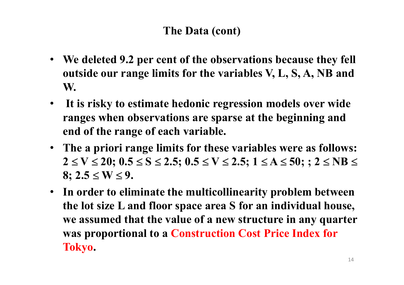### **The Data (cont)**

- **We deleted 9.2 per cent of the observations because they fell outside our range limits for the variables V, L, S, A, NB and W.**
- **It is risky to estimate hedonic regression models over wide ranges when observations are sparse at the beginning and end of the range of each variable.**
- **The a priori range limits for these variables were as follows:**  $2 \le V \le 20$ ;  $0.5 \le S \le 2.5$ ;  $0.5 \le V \le 2.5$ ;  $1 \le A \le 50$ ;  $: 2 \le NB \le 2.5$  $8: 2.5 \le W \le 9.$
- **In order to eliminate the multicollinearity problem between the lot size L and floor space area S for an individual house, we assumed that the value of a new structure in any quarter was proportional to a Construction Cost Price Index for Tokyo.**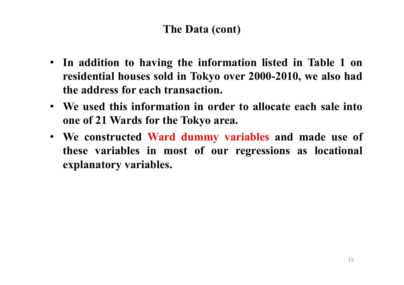#### **The Data (cont)**

- **In addition to having the information listed in Table 1 on residential houses sold in Tokyo over 2000-2010, we also had the address for each transaction.**
- **We used this information in order to allocate each sale into one of 21 Wards for the Tokyo area.**
- **We constructed Ward dummy variables and made use of these variables in most of our regressions as locational explanatory variables.**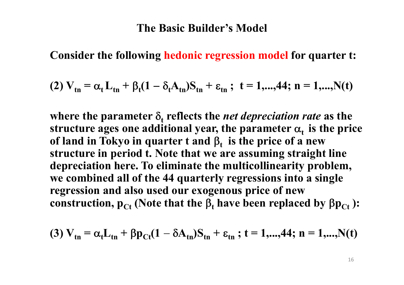#### **The Basic Builder's Model**

**Consider the following hedonic regression model for quarter t:**

(2) 
$$
V_{\text{tn}} = \alpha_t L_{\text{tn}} + \beta_t (1 - \delta_t A_{\text{tn}}) S_{\text{tn}} + \varepsilon_{\text{tn}}
$$
; t = 1,...,44; n = 1,...,N(t)

where the parameter  $\delta_{\rm t}$  reflects the *net depreciation rate* as the  ${\bf s}$  tructure ages one additional year, the parameter  ${\bf \alpha_t}$  is the price **of** land in Tokyo in quarter **t** and  $\beta_t$  is the price of a new **structure in period t. Note that we are assuming straight line depreciation here. To eliminate the multicollinearity problem, we combined all of the 44 quarterly regressions into a single regression and also used our exogenous price of new** construction,  $p_{Ct}$  (Note that the  $\beta_t$  have been replaced by  $\beta p_{Ct}$ ):

(3) 
$$
V_{tn} = \alpha_t L_{tn} + \beta p_{Ct} (1 - \delta A_{tn}) S_{tn} + \varepsilon_{tn}
$$
; t = 1,...,44; n = 1,...,N(t)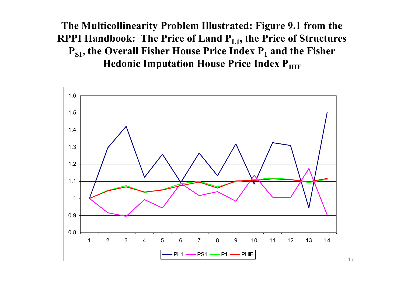**The Multicollinearity Problem Illustrated: Figure 9.1 from the RPPI Handbook: The Price of Land PL1 , the Price of Structures PS1 , the Overall Fisher House Price Index P<sup>1</sup> and the Fisher Hedonic Imputation House Price Index P**HIF



17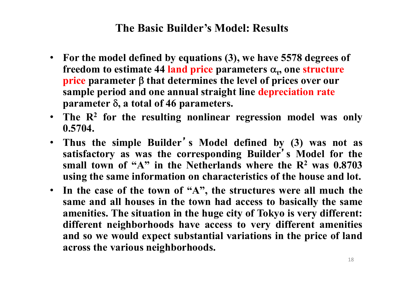#### **The Basic Builder's Model: Results**

- **For the model defined by equations (3), we have 5578 degrees of** freedom to estimate 44 land price parameters  $\alpha_t$ , one structure **price** parameter  $\beta$  that determines the level of prices over our **sample period and one annual straight line depreciation rate**  $\beta$  **parameter**  $\delta$ , **a** total of 46 parameters.
- **The R<sup>2</sup> for the resulting nonlinear regression model was only 0.5704.**
- **Thus the simple Builder** ' **s Model defined by (3) was not as satisfactory as was the corresponding Builder** ' **s Model for the small town of "A" in the Netherlands where the R<sup>2</sup> was 0.8703 using the same information on characteristics of the house and lot.**
- **In the case of the town of "A" , the structures were all much the same and all houses in the town had access to basically the same amenities. The situation in the huge city of Tokyo is very different: different neighborhoods have access to very different amenities and so we would expect substantial variations in the price of land across the various neighborhoods.**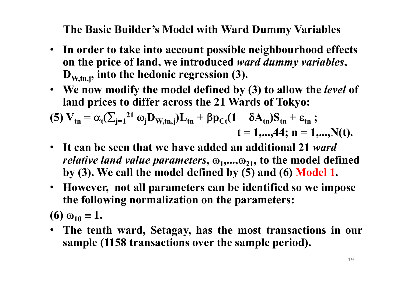**The Basic Builder's Model with Ward Dummy Variables**

- **In order to take into account possible neighbourhood effects on the price of land, we introduced** *ward dummy variables***, DW,tn,j , into the hedonic regression (3).**
- **We now modify the model defined by (3) to allow the** *level* **of land prices to differ across the 21 Wards of Tokyo:**

(5) 
$$
V_{tn} = \alpha_t (\sum_{j=1}^{21} \omega_j D_{W,tn,j}) L_{tn} + \beta p_{Ct} (1 - \delta A_{tn}) S_{tn} + \varepsilon_{tn} ;
$$
  
\n $t = 1,...,44; n = 1,...,N(t).$ 

- **It can be seen that we have added an additional 21** *ward relative land value parameters,*  $\omega_1, ..., \omega_{21}$ , to the model defined **by (3). We call the model defined by (5) and (6) Model 1.**
- **However, not all parameters can be identified so we impose the following normalization on the parameters:**

**(6)**  $\omega_{10} \equiv 1$ .

• **The tenth ward, Setagay, has the most transactions in our sample (1158 transactions over the sample period).**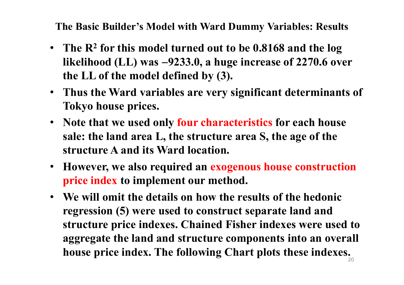**The Basic Builder's Model with Ward Dummy Variables: Results**

- **The R<sup>2</sup> for this model turned out to be 0.8168 and the log likelihood (LL) was 9233.0, a huge increase of 2270.6 over the LL of the model defined by (3).**
- **Thus the Ward variables are very significant determinants of Tokyo house prices.**
- **Note that we used only four characteristics for each house sale: the land area L, the structure area S, the age of the structure A and its Ward location.**
- **However, we also required an exogenous house construction price index to implement our method.**
- **We will omit the details on how the results of the hedonic regression (5) were used to construct separate land and structure price indexes. Chained Fisher indexes were used to aggregate the land and structure components into an overall house price index. The following Chart plots these indexes.**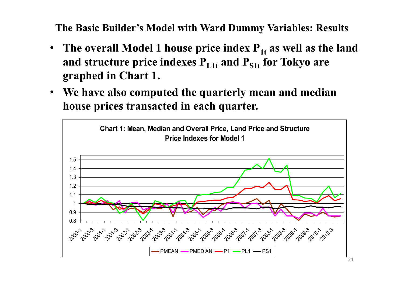**The Basic Builder's Model with Ward Dummy Variables: Results**

- **The overall Model 1 house price index P1t as well as the land and structure price indexes PL1t and PS1t for Tokyo are graphed in Chart 1.**
- **We have also computed the quarterly mean and median house prices transacted in each quarter.**

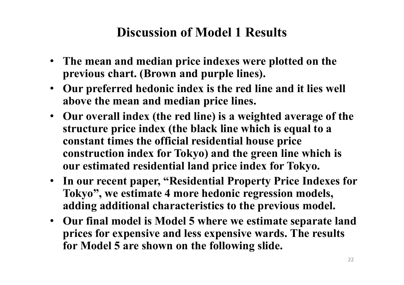## **Discussion of Model 1 Results**

- **The mean and median price indexes were plotted on the previous chart. (Brown and purple lines).**
- **Our preferred hedonic index is the red line and it lies well above the mean and median price lines.**
- **Our overall index (the red line) is a weighted average of the structure price index (the black line which is equal to a constant times the official residential house price construction index for Tokyo) and the green line which is our estimated residential land price index for Tokyo.**
- **In our recent paper, "Residential Property Price Indexes for Tokyo" , we estimate 4 more hedonic regression models, adding additional characteristics to the previous model.**
- **Our final model is Model 5 where we estimate separate land prices for expensive and less expensive wards. The results for Model 5 are shown on the following slide.**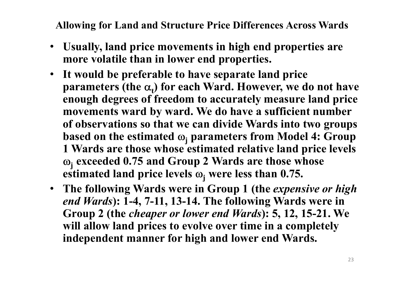**Allowing for Land and Structure Price Differences Across Wards**

- **Usually, land price movements in high end properties are more volatile than in lower end properties.**
- **It would be preferable to have separate land price parameters (the <sup>t</sup> ) for each Ward. However, we do not have enough degrees of freedom to accurately measure land price movements ward by ward. We do have a sufficient number of observations so that we can divide Wards into two groups based** on the estimated  $\omega_i$  parameters from Model 4: Group **1 Wards are those whose estimated relative land price levels j exceeded 0.75 and Group 2 Wards are those whose estimated** land price levels  $\omega_i$  were less than 0.75.
- **The following Wards were in Group 1 (the** *expensive or high end Wards***): 1-4, 7-11, 13-14. The following Wards were in Group 2 (the** *cheaper or lower end Wards***): 5, 12, 15-21. We will allow land prices to evolve over time in a completely independent manner for high and lower end Wards.**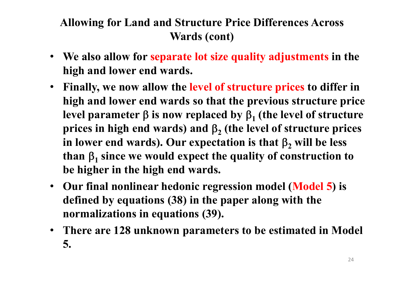### **Allowing for Land and Structure Price Differences Across Wards (cont)**

- **We also allow for separate lot size quality adjustments in the high and lower end wards.**
- **Finally, we now allow the level of structure prices to differ in high and lower end wards so that the previous structure price** level parameter  $\beta$  is now replaced by  $\beta_1$  (the level of structure **prices in high end wards) and**  $\beta_2$  **(the level of structure prices** in lower end wards). Our expectation is that  $\beta$ , will be less than  $\beta_1$  since we would expect the quality of construction to **be higher in the high end wards.**
- **Our final nonlinear hedonic regression model (Model 5) is defined by equations (38) in the paper along with the normalizations in equations (39).**
- **There are 128 unknown parameters to be estimated in Model 5.**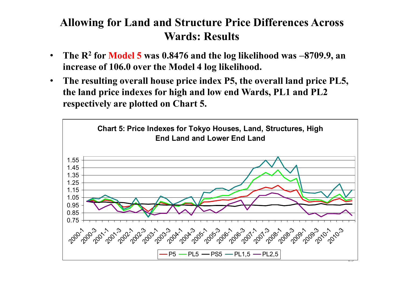#### **Allowing for Land and Structure Price Differences Across Wards: Results**

- **The R<sup>2</sup> for Model 5 was 0.8476 and the log likelihood was 8709.9, an increase of 106.0 over the Model 4 log likelihood.**
- **The resulting overall house price index P5, the overall land price PL5, the land price indexes for high and low end Wards, PL1 and PL2 respectively are plotted on Chart 5.**

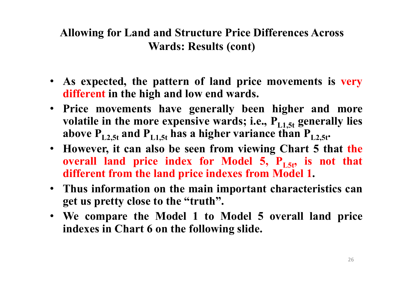#### **Allowing for Land and Structure Price Differences Across Wards: Results (cont)**

- **As expected, the pattern of land price movements is very different in the high and low end wards.**
- **Price movements have generally been higher and more** volatile in the more expensive wards; i.e.,  $P_{L1,5t}$  generally lies **above PL2,5t and PL1,5t has a higher variance than PL2,5t .**
- **However, it can also be seen from viewing Chart 5 that the overall land price index for Model 5, PL5t , is not that different from the land price indexes from Model 1.**
- **Thus information on the main important characteristics can get us pretty close to the "truth".**
- **We compare the Model 1 to Model 5 overall land price indexes in Chart 6 on the following slide.**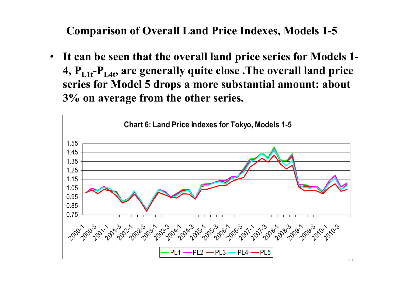**Comparison of Overall Land Price Indexes, Models 1-5**

• **It can be seen that the overall land price series for Models 1- 4, PL1t -PL4t , are generally quite close .The overall land price series for Model 5 drops a more substantial amount: about 3% on average from the other series.**

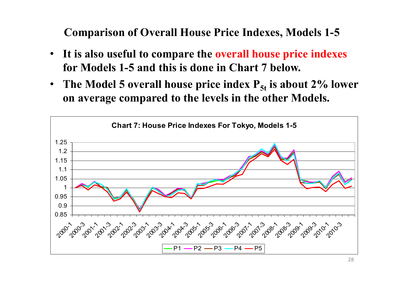**Comparison of Overall House Price Indexes, Models 1-5**

- **It is also useful to compare the overall house price indexes for Models 1-5 and this is done in Chart 7 below.**
- **The Model 5 overall house price index P5t is about 2% lower on average compared to the levels in the other Models.**